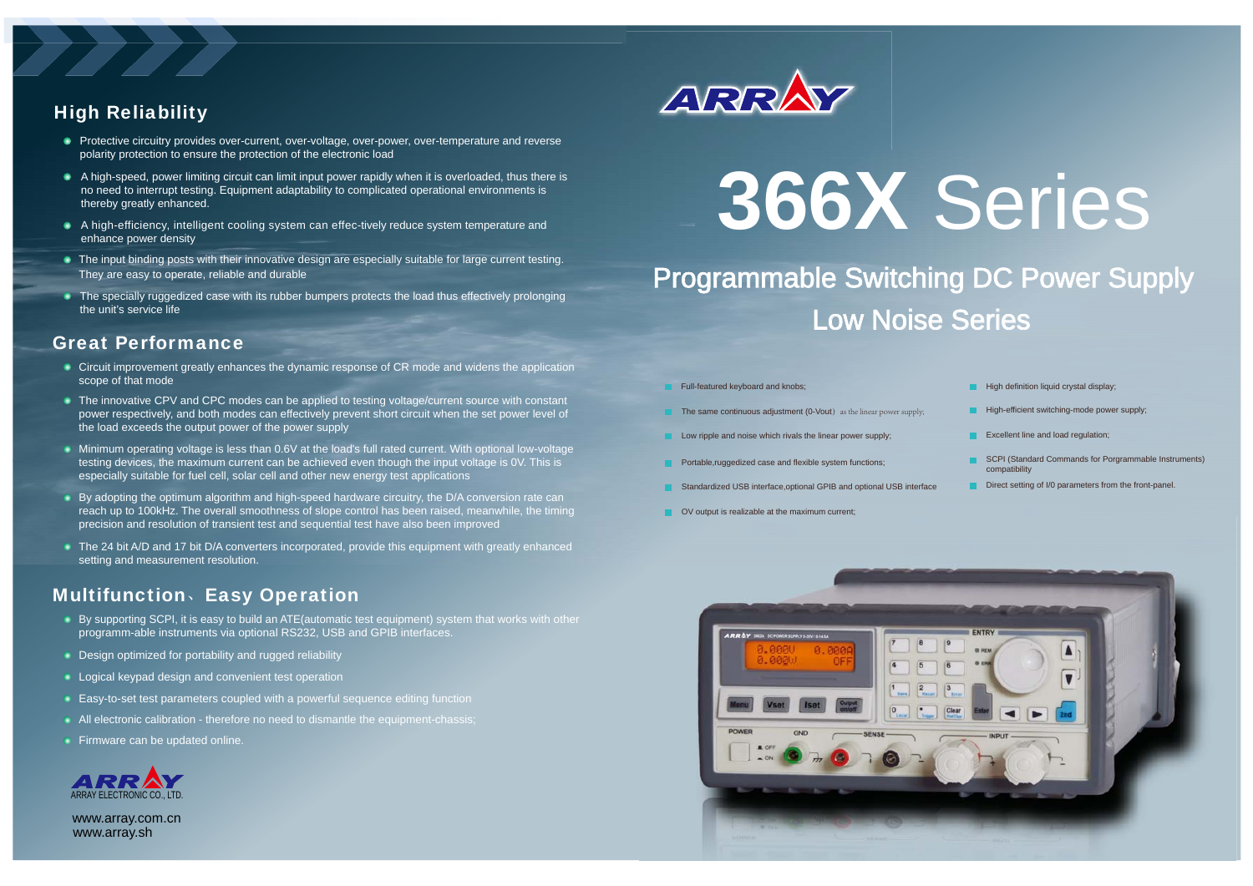### High Reliability

- **•** Protective circuitry provides over-current, over-voltage, over-power, over-temperature and reverse polarity protection to ensure the protection of the electronic load
- $\bullet$  A high-speed, power limiting circuit can limit input power rapidly when it is overloaded, thus there is no need to interrupt testing. Equipment adaptability to complicated operational environments is thereby greatly enhanced.
- A high-efficiency, intelligent cooling system can effec-tively reduce system temperature and enhance power density
- $\blacksquare$  The input binding posts with their innovative design are especially suitable for large current testing. They are easy to operate, reliable and durable
- The specially ruggedized case with its rubber bumpers protects the load thus effectively prolonging the unit's service life

#### Great Performance

- Circuit improvement greatly enhances the dynamic response of CR mode and widens the application scope of that mode
- The innovative CPV and CPC modes can be applied to testing voltage/current source with constant power respectively, and both modes can effectively prevent short circuit when the set power level of the load exceeds the output power of the power supply
- Minimum operating voltage is less than 0.6V at the load's full rated current. With optional low-voltage testing devices, the maximum current can be achieved even though the input voltage is 0V. This is especially suitable for fuel cell, solar cell and other new energy test applications
- By adopting the optimum algorithm and high-speed hardware circuitry, the D/A conversion rate can reach up to 100kHz. The overall smoothness of slope control has been raised, meanwhile, the timing precision and resolution of transient test and sequential test have also been improved
- The 24 bit A/D and 17 bit D/A converters incorporated, provide this equipment with greatly enhanced setting and measurement resolution.

## Multifunction、Easy Operation

- By supporting SCPI, it is easy to build an ATE (automatic test equipment) system that works with other programm-able instruments via optional RS232, USB and GPIB interfaces.
- **Design optimized for portability and rugged reliability**
- **Logical keypad design and convenient test operation**
- **Easy-to-set test parameters coupled with a powerful sequence editing function**
- All electronic calibration therefore no need to dismantle the equipment-chassis;
- **Firmware can be updated online.**



www.array.sh www.array.com.cn



# **366X** Series

Programmable Switching DC Power Supply Low Noise Series

- Full-featured keyboard and knobs;
- The same continuous adjustment (0-Vout) as the linear power supply;
- Low ripple and noise which rivals the linear power supply;
- **Portable,ruggedized case and flexible system functions;**
- **Standardized USB interface,optional GPIB and optional USB interface**
- **OV** output is realizable at the maximum current;
- $\blacksquare$  High definition liquid crystal display;
- $H$ igh-efficient switching-mode power supply;
- **EXCELLENT LINE AND IDEA** THE EXCELLENT LINE And IDAD regulation;
- **SCPI (Standard Commands for Porgrammable Instruments)** compatibility
- Direct setting of I/0 parameters from the front-panel.